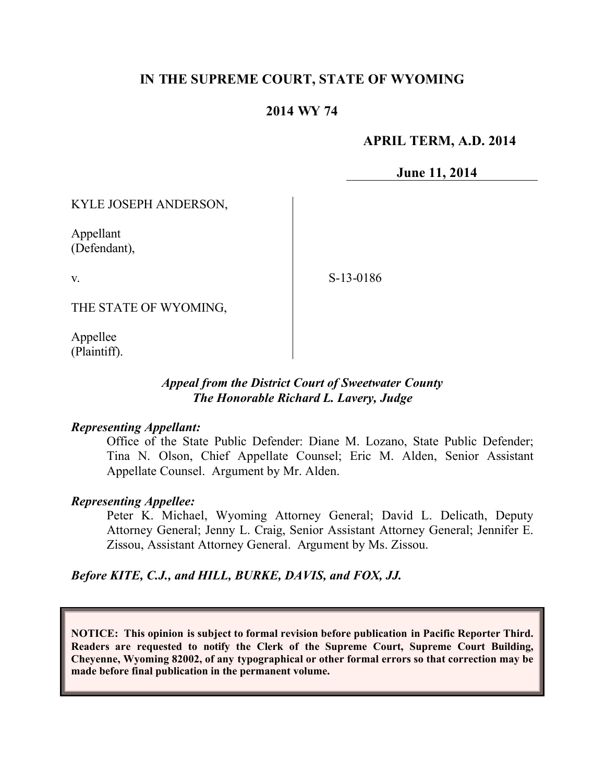# **IN THE SUPREME COURT, STATE OF WYOMING**

## **2014 WY 74**

### **APRIL TERM, A.D. 2014**

**June 11, 2014**

KYLE JOSEPH ANDERSON,

Appellant (Defendant),

v.

S-13-0186

THE STATE OF WYOMING,

Appellee (Plaintiff).

#### *Appeal from the District Court of Sweetwater County The Honorable Richard L. Lavery, Judge*

#### *Representing Appellant:*

Office of the State Public Defender: Diane M. Lozano, State Public Defender; Tina N. Olson, Chief Appellate Counsel; Eric M. Alden, Senior Assistant Appellate Counsel. Argument by Mr. Alden.

#### *Representing Appellee:*

Peter K. Michael, Wyoming Attorney General; David L. Delicath, Deputy Attorney General; Jenny L. Craig, Senior Assistant Attorney General; Jennifer E. Zissou, Assistant Attorney General. Argument by Ms. Zissou.

## *Before KITE, C.J., and HILL, BURKE, DAVIS, and FOX, JJ.*

**NOTICE: This opinion is subject to formal revision before publication in Pacific Reporter Third. Readers are requested to notify the Clerk of the Supreme Court, Supreme Court Building, Cheyenne, Wyoming 82002, of any typographical or other formal errors so that correction may be made before final publication in the permanent volume.**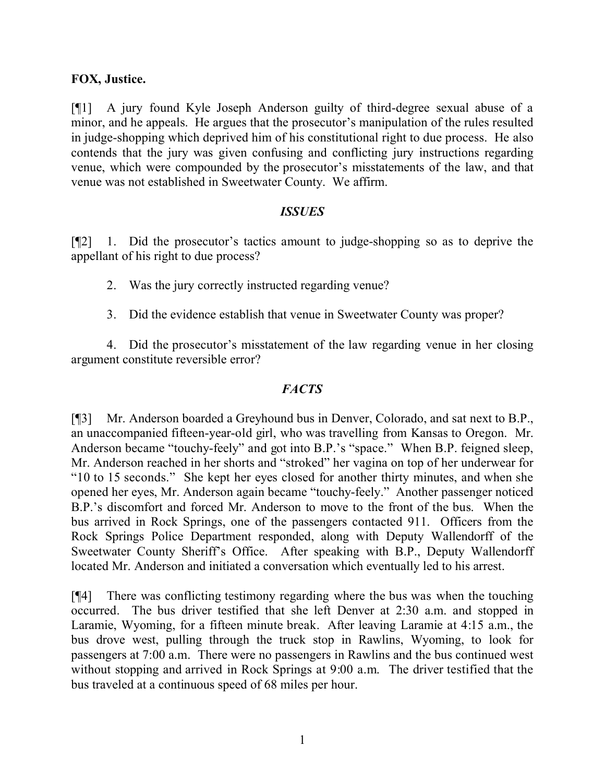## **FOX, Justice.**

[¶1] A jury found Kyle Joseph Anderson guilty of third-degree sexual abuse of a minor, and he appeals. He argues that the prosecutor's manipulation of the rules resulted in judge-shopping which deprived him of his constitutional right to due process. He also contends that the jury was given confusing and conflicting jury instructions regarding venue, which were compounded by the prosecutor's misstatements of the law, and that venue was not established in Sweetwater County. We affirm.

#### *ISSUES*

[¶2] 1. Did the prosecutor's tactics amount to judge-shopping so as to deprive the appellant of his right to due process?

2. Was the jury correctly instructed regarding venue?

3. Did the evidence establish that venue in Sweetwater County was proper?

4. Did the prosecutor's misstatement of the law regarding venue in her closing argument constitute reversible error?

#### *FACTS*

[¶3] Mr. Anderson boarded a Greyhound bus in Denver, Colorado, and sat next to B.P., an unaccompanied fifteen-year-old girl, who was travelling from Kansas to Oregon. Mr. Anderson became "touchy-feely" and got into B.P.'s "space." When B.P. feigned sleep, Mr. Anderson reached in her shorts and "stroked" her vagina on top of her underwear for "10 to 15 seconds." She kept her eyes closed for another thirty minutes, and when she opened her eyes, Mr. Anderson again became "touchy-feely." Another passenger noticed B.P.'s discomfort and forced Mr. Anderson to move to the front of the bus. When the bus arrived in Rock Springs, one of the passengers contacted 911. Officers from the Rock Springs Police Department responded, along with Deputy Wallendorff of the Sweetwater County Sheriff's Office. After speaking with B.P., Deputy Wallendorff located Mr. Anderson and initiated a conversation which eventually led to his arrest.

[¶4] There was conflicting testimony regarding where the bus was when the touching occurred. The bus driver testified that she left Denver at 2:30 a.m. and stopped in Laramie, Wyoming, for a fifteen minute break. After leaving Laramie at 4:15 a.m., the bus drove west, pulling through the truck stop in Rawlins, Wyoming, to look for passengers at 7:00 a.m. There were no passengers in Rawlins and the bus continued west without stopping and arrived in Rock Springs at 9:00 a.m. The driver testified that the bus traveled at a continuous speed of 68 miles per hour.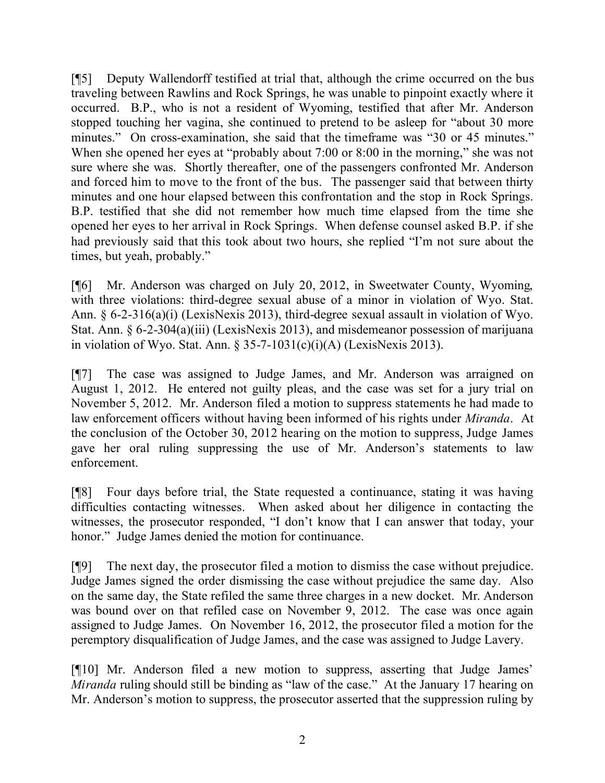[¶5] Deputy Wallendorff testified at trial that, although the crime occurred on the bus traveling between Rawlins and Rock Springs, he was unable to pinpoint exactly where it occurred. B.P., who is not a resident of Wyoming, testified that after Mr. Anderson stopped touching her vagina, she continued to pretend to be asleep for "about 30 more minutes." On cross-examination, she said that the timeframe was "30 or 45 minutes." When she opened her eyes at "probably about 7:00 or 8:00 in the morning," she was not sure where she was. Shortly thereafter, one of the passengers confronted Mr. Anderson and forced him to move to the front of the bus. The passenger said that between thirty minutes and one hour elapsed between this confrontation and the stop in Rock Springs. B.P. testified that she did not remember how much time elapsed from the time she opened her eyes to her arrival in Rock Springs. When defense counsel asked B.P. if she had previously said that this took about two hours, she replied "I'm not sure about the times, but yeah, probably."

[¶6] Mr. Anderson was charged on July 20, 2012, in Sweetwater County, Wyoming, with three violations: third-degree sexual abuse of a minor in violation of Wyo. Stat. Ann. § 6-2-316(a)(i) (LexisNexis 2013), third-degree sexual assault in violation of Wyo. Stat. Ann. § 6-2-304(a)(iii) (LexisNexis 2013), and misdemeanor possession of marijuana in violation of Wyo. Stat. Ann. § 35-7-1031(c)(i)(A) (LexisNexis 2013).

[¶7] The case was assigned to Judge James, and Mr. Anderson was arraigned on August 1, 2012. He entered not guilty pleas, and the case was set for a jury trial on November 5, 2012. Mr. Anderson filed a motion to suppress statements he had made to law enforcement officers without having been informed of his rights under *Miranda*. At the conclusion of the October 30, 2012 hearing on the motion to suppress, Judge James gave her oral ruling suppressing the use of Mr. Anderson's statements to law enforcement.

[¶8] Four days before trial, the State requested a continuance, stating it was having difficulties contacting witnesses. When asked about her diligence in contacting the witnesses, the prosecutor responded, "I don't know that I can answer that today, your honor." Judge James denied the motion for continuance.

[¶9] The next day, the prosecutor filed a motion to dismiss the case without prejudice. Judge James signed the order dismissing the case without prejudice the same day. Also on the same day, the State refiled the same three charges in a new docket. Mr. Anderson was bound over on that refiled case on November 9, 2012. The case was once again assigned to Judge James. On November 16, 2012, the prosecutor filed a motion for the peremptory disqualification of Judge James, and the case was assigned to Judge Lavery.

[¶10] Mr. Anderson filed a new motion to suppress, asserting that Judge James' *Miranda* ruling should still be binding as "law of the case." At the January 17 hearing on Mr. Anderson's motion to suppress, the prosecutor asserted that the suppression ruling by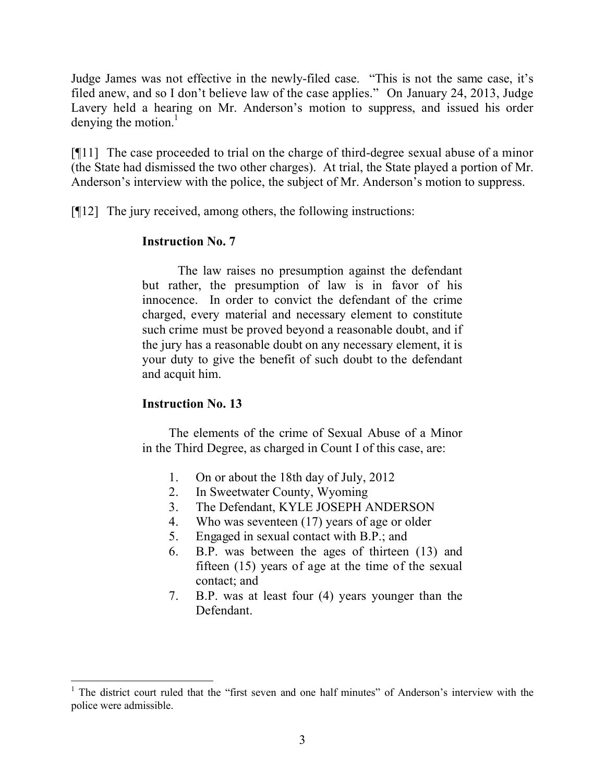Judge James was not effective in the newly-filed case. "This is not the same case, it's filed anew, and so I don't believe law of the case applies." On January 24, 2013, Judge Lavery held a hearing on Mr. Anderson's motion to suppress, and issued his order denying the motion. $\frac{1}{1}$ 

[¶11] The case proceeded to trial on the charge of third-degree sexual abuse of a minor (the State had dismissed the two other charges). At trial, the State played a portion of Mr. Anderson's interview with the police, the subject of Mr. Anderson's motion to suppress.

[¶12] The jury received, among others, the following instructions:

## **Instruction No. 7**

The law raises no presumption against the defendant but rather, the presumption of law is in favor of his innocence. In order to convict the defendant of the crime charged, every material and necessary element to constitute such crime must be proved beyond a reasonable doubt, and if the jury has a reasonable doubt on any necessary element, it is your duty to give the benefit of such doubt to the defendant and acquit him.

## **Instruction No. 13**

The elements of the crime of Sexual Abuse of a Minor in the Third Degree, as charged in Count I of this case, are:

- 1. On or about the 18th day of July, 2012
- 2. In Sweetwater County, Wyoming
- 3. The Defendant, KYLE JOSEPH ANDERSON
- 4. Who was seventeen (17) years of age or older
- 5. Engaged in sexual contact with B.P.; and
- 6. B.P. was between the ages of thirteen (13) and fifteen (15) years of age at the time of the sexual contact; and
- 7. B.P. was at least four (4) years younger than the Defendant.

 <sup>1</sup> The district court ruled that the "first seven and one half minutes" of Anderson's interview with the police were admissible.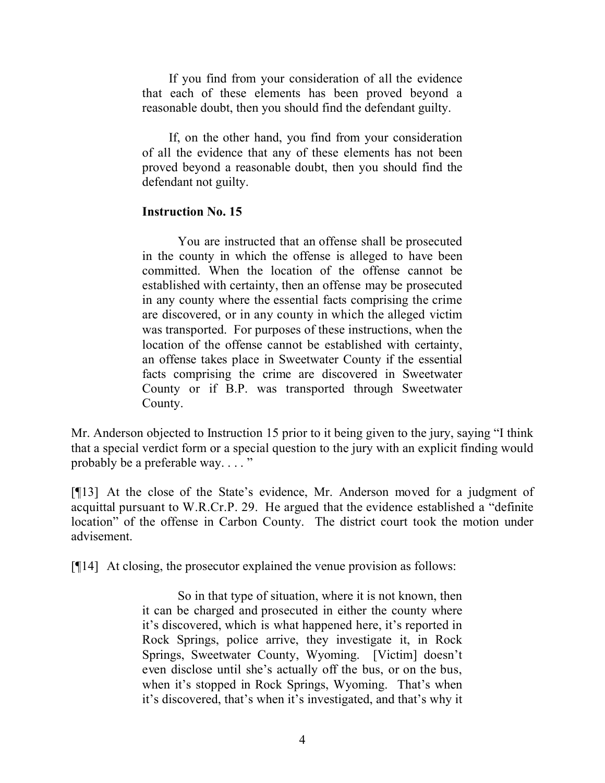If you find from your consideration of all the evidence that each of these elements has been proved beyond a reasonable doubt, then you should find the defendant guilty.

If, on the other hand, you find from your consideration of all the evidence that any of these elements has not been proved beyond a reasonable doubt, then you should find the defendant not guilty.

#### **Instruction No. 15**

You are instructed that an offense shall be prosecuted in the county in which the offense is alleged to have been committed. When the location of the offense cannot be established with certainty, then an offense may be prosecuted in any county where the essential facts comprising the crime are discovered, or in any county in which the alleged victim was transported. For purposes of these instructions, when the location of the offense cannot be established with certainty, an offense takes place in Sweetwater County if the essential facts comprising the crime are discovered in Sweetwater County or if B.P. was transported through Sweetwater County.

Mr. Anderson objected to Instruction 15 prior to it being given to the jury, saying "I think that a special verdict form or a special question to the jury with an explicit finding would probably be a preferable way...."

[¶13] At the close of the State's evidence, Mr. Anderson moved for a judgment of acquittal pursuant to W.R.Cr.P. 29. He argued that the evidence established a "definite location" of the offense in Carbon County. The district court took the motion under advisement.

[¶14] At closing, the prosecutor explained the venue provision as follows:

So in that type of situation, where it is not known, then it can be charged and prosecuted in either the county where it's discovered, which is what happened here, it's reported in Rock Springs, police arrive, they investigate it, in Rock Springs, Sweetwater County, Wyoming. [Victim] doesn't even disclose until she's actually off the bus, or on the bus, when it's stopped in Rock Springs, Wyoming. That's when it's discovered, that's when it's investigated, and that's why it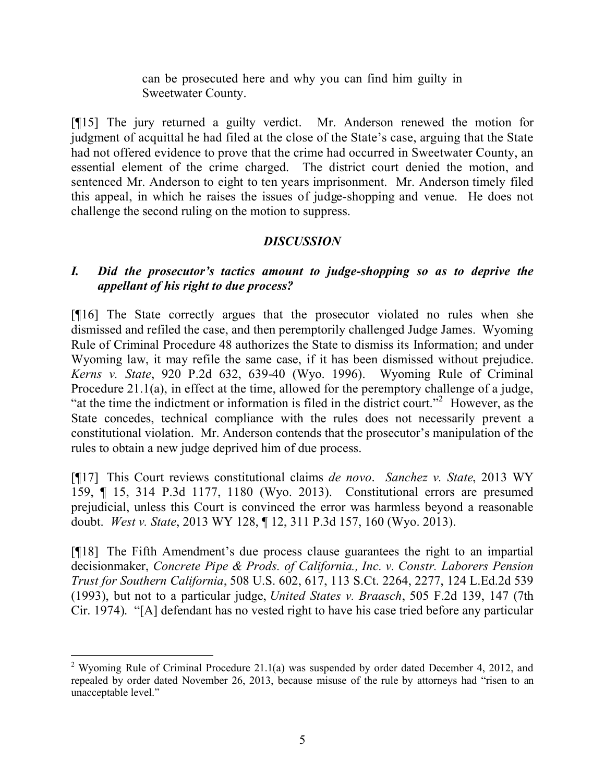can be prosecuted here and why you can find him guilty in Sweetwater County.

[¶15] The jury returned a guilty verdict. Mr. Anderson renewed the motion for judgment of acquittal he had filed at the close of the State's case, arguing that the State had not offered evidence to prove that the crime had occurred in Sweetwater County, an essential element of the crime charged. The district court denied the motion, and sentenced Mr. Anderson to eight to ten years imprisonment. Mr. Anderson timely filed this appeal, in which he raises the issues of judge-shopping and venue. He does not challenge the second ruling on the motion to suppress.

# *DISCUSSION*

# *I. Did the prosecutor's tactics amount to judge-shopping so as to deprive the appellant of his right to due process?*

[¶16] The State correctly argues that the prosecutor violated no rules when she dismissed and refiled the case, and then peremptorily challenged Judge James. Wyoming Rule of Criminal Procedure 48 authorizes the State to dismiss its Information; and under Wyoming law, it may refile the same case, if it has been dismissed without prejudice. *Kerns v. State*, 920 P.2d 632, 639-40 (Wyo. 1996). Wyoming Rule of Criminal Procedure 21.1(a), in effect at the time, allowed for the peremptory challenge of a judge, "at the time the indictment or information is filed in the district court."<sup>2</sup> However, as the State concedes, technical compliance with the rules does not necessarily prevent a constitutional violation. Mr. Anderson contends that the prosecutor's manipulation of the rules to obtain a new judge deprived him of due process.

[¶17] This Court reviews constitutional claims *de novo*. *Sanchez v. State*, 2013 WY 159, ¶ 15, 314 P.3d 1177, 1180 (Wyo. 2013). Constitutional errors are presumed prejudicial, unless this Court is convinced the error was harmless beyond a reasonable doubt. *West v. State*, 2013 WY 128, ¶ 12, 311 P.3d 157, 160 (Wyo. 2013).

[¶18] The Fifth Amendment's due process clause guarantees the right to an impartial decisionmaker, *Concrete Pipe & Prods. of California., Inc. v. Constr. Laborers Pension Trust for Southern California*, 508 U.S. 602, 617, 113 S.Ct. 2264, 2277, 124 L.Ed.2d 539 (1993), but not to a particular judge, *United States v. Braasch*, 505 F.2d 139, 147 (7th Cir. 1974). "[A] defendant has no vested right to have his case tried before any particular

<sup>&</sup>lt;sup>2</sup> Wyoming Rule of Criminal Procedure 21.1(a) was suspended by order dated December 4, 2012, and repealed by order dated November 26, 2013, because misuse of the rule by attorneys had "risen to an unacceptable level."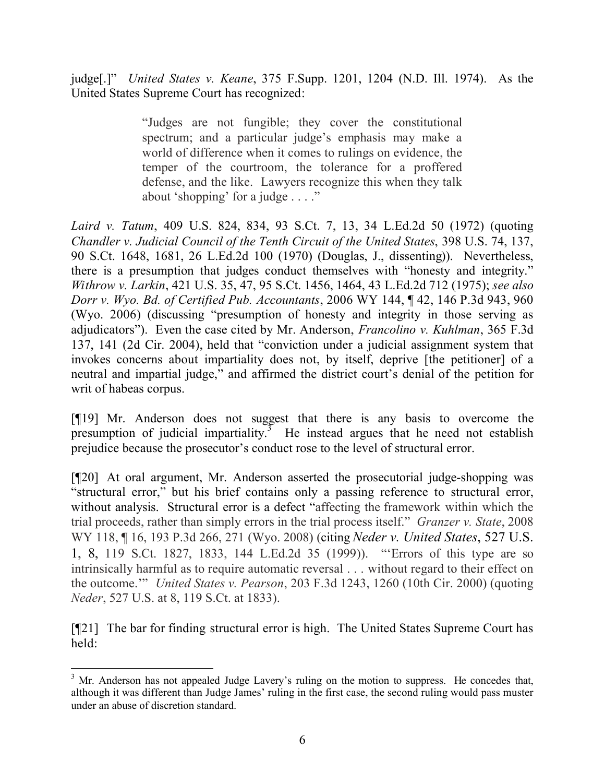judge[.]" *United States v. Keane*, 375 F.Supp. 1201, 1204 (N.D. Ill. 1974). As the United States Supreme Court has recognized:

> "Judges are not fungible; they cover the constitutional spectrum; and a particular judge's emphasis may make a world of difference when it comes to rulings on evidence, the temper of the courtroom, the tolerance for a proffered defense, and the like. Lawyers recognize this when they talk about 'shopping' for a judge . . . ."

*Laird v. Tatum*, 409 U.S. 824, 834, 93 S.Ct. 7, 13, 34 L.Ed.2d 50 (1972) (quoting *Chandler v. Judicial Council of the Tenth Circuit of the United States*, 398 U.S. 74, 137, 90 S.Ct. 1648, 1681, 26 L.Ed.2d 100 (1970) (Douglas, J., dissenting)). Nevertheless, there is a presumption that judges conduct themselves with "honesty and integrity." *Withrow v. Larkin*, 421 U.S. 35, 47, 95 S.Ct. 1456, 1464, 43 L.Ed.2d 712 (1975); *see also Dorr v. Wyo. Bd. of Certified Pub. Accountants*, 2006 WY 144, ¶ 42, 146 P.3d 943, 960 (Wyo. 2006) (discussing "presumption of honesty and integrity in those serving as adjudicators"). Even the case cited by Mr. Anderson, *Francolino v. Kuhlman*, 365 F.3d 137, 141 (2d Cir. 2004), held that "conviction under a judicial assignment system that invokes concerns about impartiality does not, by itself, deprive [the petitioner] of a neutral and impartial judge," and affirmed the district court's denial of the petition for writ of habeas corpus.

[¶19] Mr. Anderson does not suggest that there is any basis to overcome the presumption of judicial impartiality.<sup>3</sup> He instead argues that he need not establish prejudice because the prosecutor's conduct rose to the level of structural error.

[¶20] At oral argument, Mr. Anderson asserted the prosecutorial judge-shopping was "structural error," but his brief contains only a passing reference to structural error, without analysis. Structural error is a defect "affecting the framework within which the trial proceeds, rather than simply errors in the trial process itself." *Granzer v. State*, 2008 WY 118, ¶ 16, 193 P.3d 266, 271 (Wyo. 2008) (citing *Neder v. United States*, 527 U.S. 1, 8, 119 S.Ct. 1827, 1833, 144 L.Ed.2d 35 (1999)). "'Errors of this type are so intrinsically harmful as to require automatic reversal . . . without regard to their effect on the outcome.'" *United States v. Pearson*, 203 F.3d 1243, 1260 (10th Cir. 2000) (quoting *Neder*, 527 U.S. at 8, 119 S.Ct. at 1833).

[¶21] The bar for finding structural error is high. The United States Supreme Court has held:

  $3$  Mr. Anderson has not appealed Judge Lavery's ruling on the motion to suppress. He concedes that, although it was different than Judge James' ruling in the first case, the second ruling would pass muster under an abuse of discretion standard.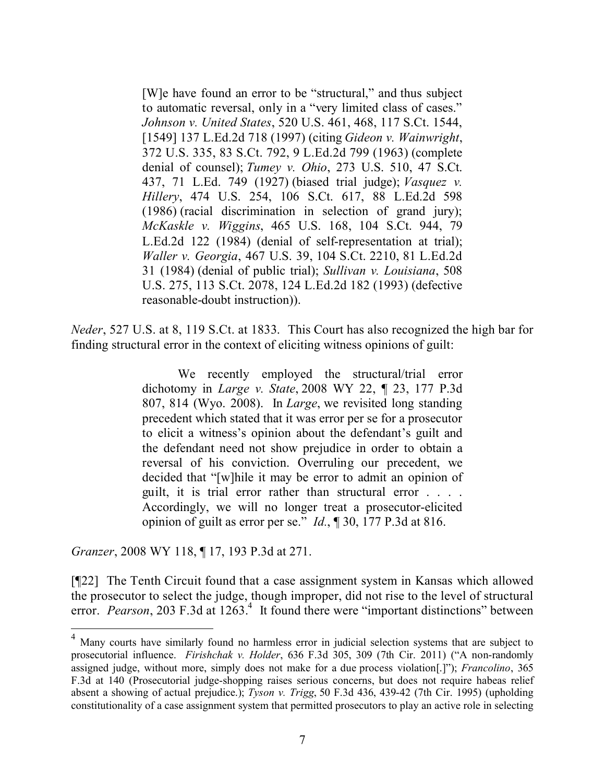[W]e have found an error to be "structural," and thus subject to automatic reversal, only in a "very limited class of cases." *Johnson v. United States*, 520 U.S. 461, 468, 117 S.Ct. 1544, [1549] 137 L.Ed.2d 718 (1997) (citing *Gideon v. Wainwright*, 372 U.S. 335, 83 S.Ct. 792, 9 L.Ed.2d 799 (1963) (complete denial of counsel); *Tumey v. Ohio*, 273 U.S. 510, 47 S.Ct. 437, 71 L.Ed. 749 (1927) (biased trial judge); *Vasquez v. Hillery*, 474 U.S. 254, 106 S.Ct. 617, 88 L.Ed.2d 598 (1986) (racial discrimination in selection of grand jury); *McKaskle v. Wiggins*, 465 U.S. 168, 104 S.Ct. 944, 79 L.Ed.2d 122 (1984) (denial of self-representation at trial); *Waller v. Georgia*, 467 U.S. 39, 104 S.Ct. 2210, 81 L.Ed.2d 31 (1984) (denial of public trial); *Sullivan v. Louisiana*, 508 U.S. 275, 113 S.Ct. 2078, 124 L.Ed.2d 182 (1993) (defective reasonable-doubt instruction)).

*Neder*, 527 U.S. at 8, 119 S.Ct. at 1833. This Court has also recognized the high bar for finding structural error in the context of eliciting witness opinions of guilt:

> We recently employed the structural/trial error dichotomy in *Large v. State*, 2008 WY 22, ¶ 23, 177 P.3d 807, 814 (Wyo. 2008). In *Large*, we revisited long standing precedent which stated that it was error per se for a prosecutor to elicit a witness's opinion about the defendant's guilt and the defendant need not show prejudice in order to obtain a reversal of his conviction. Overruling our precedent, we decided that "[w]hile it may be error to admit an opinion of guilt, it is trial error rather than structural error . . . . Accordingly, we will no longer treat a prosecutor-elicited opinion of guilt as error per se." *Id.*, ¶ 30, 177 P.3d at 816.

*Granzer*, 2008 WY 118, ¶ 17, 193 P.3d at 271.

[¶22] The Tenth Circuit found that a case assignment system in Kansas which allowed the prosecutor to select the judge, though improper, did not rise to the level of structural error. *Pearson*, 203 F.3d at 1263.<sup>4</sup> It found there were "important distinctions" between

<sup>&</sup>lt;sup>4</sup> Many courts have similarly found no harmless error in judicial selection systems that are subject to prosecutorial influence. *Firishchak v. Holder*, 636 F.3d 305, 309 (7th Cir. 2011) ("A non-randomly assigned judge, without more, simply does not make for a due process violation[.]"); *Francolino*, 365 F.3d at 140 (Prosecutorial judge-shopping raises serious concerns, but does not require habeas relief absent a showing of actual prejudice.); *Tyson v. Trigg*, 50 F.3d 436, 439-42 (7th Cir. 1995) (upholding constitutionality of a case assignment system that permitted prosecutors to play an active role in selecting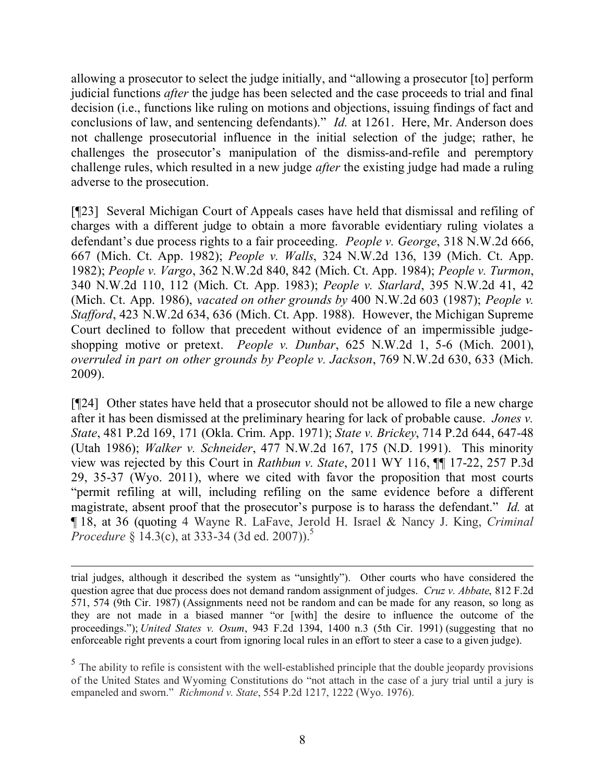allowing a prosecutor to select the judge initially, and "allowing a prosecutor [to] perform judicial functions *after* the judge has been selected and the case proceeds to trial and final decision (i.e., functions like ruling on motions and objections, issuing findings of fact and conclusions of law, and sentencing defendants)." *Id.* at 1261. Here, Mr. Anderson does not challenge prosecutorial influence in the initial selection of the judge; rather, he challenges the prosecutor's manipulation of the dismiss-and-refile and peremptory challenge rules, which resulted in a new judge *after* the existing judge had made a ruling adverse to the prosecution.

[¶23] Several Michigan Court of Appeals cases have held that dismissal and refiling of charges with a different judge to obtain a more favorable evidentiary ruling violates a defendant's due process rights to a fair proceeding. *People v. George*, 318 N.W.2d 666, 667 (Mich. Ct. App. 1982); *People v. Walls*, 324 N.W.2d 136, 139 (Mich. Ct. App. 1982); *People v. Vargo*, 362 N.W.2d 840, 842 (Mich. Ct. App. 1984); *People v. Turmon*, 340 N.W.2d 110, 112 (Mich. Ct. App. 1983); *People v. Starlard*, 395 N.W.2d 41, 42 (Mich. Ct. App. 1986), *vacated on other grounds by* 400 N.W.2d 603 (1987); *People v. Stafford*, 423 N.W.2d 634, 636 (Mich. Ct. App. 1988). However, the Michigan Supreme Court declined to follow that precedent without evidence of an impermissible judgeshopping motive or pretext. *People v. Dunbar*, 625 N.W.2d 1, 5-6 (Mich. 2001), *overruled in part on other grounds by People v. Jackson*, 769 N.W.2d 630, 633 (Mich. 2009).

[¶24] Other states have held that a prosecutor should not be allowed to file a new charge after it has been dismissed at the preliminary hearing for lack of probable cause. *Jones v. State*, 481 P.2d 169, 171 (Okla. Crim. App. 1971); *State v. Brickey*, 714 P.2d 644, 647-48 (Utah 1986); *Walker v. Schneider*, 477 N.W.2d 167, 175 (N.D. 1991). This minority view was rejected by this Court in *Rathbun v. State*, 2011 WY 116, ¶¶ 17-22, 257 P.3d 29, 35-37 (Wyo. 2011), where we cited with favor the proposition that most courts "permit refiling at will, including refiling on the same evidence before a different magistrate, absent proof that the prosecutor's purpose is to harass the defendant." *Id.* at ¶ 18, at 36 (quoting 4 Wayne R. LaFave, Jerold H. Israel & Nancy J. King, *Criminal Procedure* § 14.3(c), at 333-34 (3d ed. 2007)).<sup>5</sup>

 trial judges, although it described the system as "unsightly"). Other courts who have considered the question agree that due process does not demand random assignment of judges. *Cruz v. Abbate*, 812 F.2d 571, 574 (9th Cir. 1987) (Assignments need not be random and can be made for any reason, so long as they are not made in a biased manner "or [with] the desire to influence the outcome of the proceedings."); *United States v. Osum*, 943 F.2d 1394, 1400 n.3 (5th Cir. 1991) (suggesting that no enforceable right prevents a court from ignoring local rules in an effort to steer a case to a given judge).

<sup>&</sup>lt;sup>5</sup> The ability to refile is consistent with the well-established principle that the double jeopardy provisions of the United States and Wyoming Constitutions do "not attach in the case of a jury trial until a jury is empaneled and sworn." *Richmond v. State*, 554 P.2d 1217, 1222 (Wyo. 1976).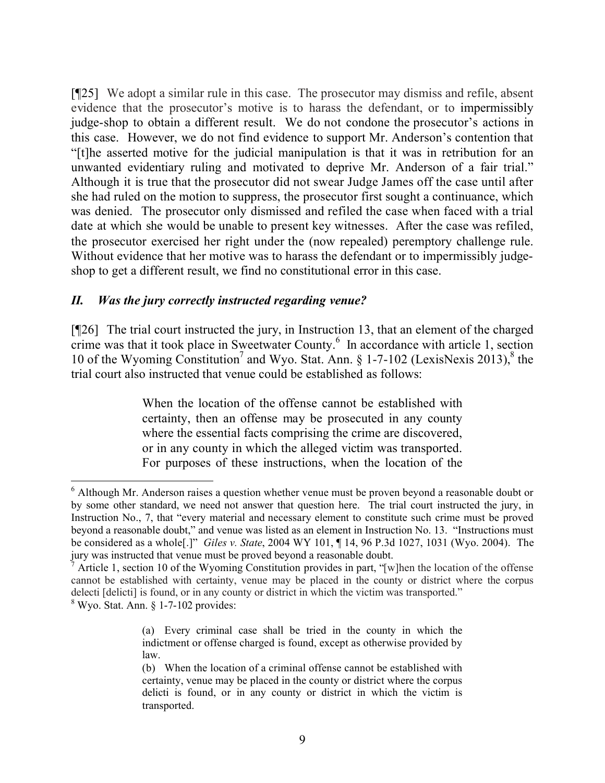[¶25] We adopt a similar rule in this case. The prosecutor may dismiss and refile, absent evidence that the prosecutor's motive is to harass the defendant, or to impermissibly judge-shop to obtain a different result. We do not condone the prosecutor's actions in this case. However, we do not find evidence to support Mr. Anderson's contention that "[t]he asserted motive for the judicial manipulation is that it was in retribution for an unwanted evidentiary ruling and motivated to deprive Mr. Anderson of a fair trial." Although it is true that the prosecutor did not swear Judge James off the case until after she had ruled on the motion to suppress, the prosecutor first sought a continuance, which was denied. The prosecutor only dismissed and refiled the case when faced with a trial date at which she would be unable to present key witnesses. After the case was refiled, the prosecutor exercised her right under the (now repealed) peremptory challenge rule. Without evidence that her motive was to harass the defendant or to impermissibly judgeshop to get a different result, we find no constitutional error in this case.

## *II. Was the jury correctly instructed regarding venue?*

[¶26] The trial court instructed the jury, in Instruction 13, that an element of the charged crime was that it took place in Sweetwater County. $<sup>6</sup>$  In accordance with article 1, section</sup> 10 of the Wyoming Constitution<sup>7</sup> and Wyo. Stat. Ann. § 1-7-102 (LexisNexis 2013),<sup>8</sup> the trial court also instructed that venue could be established as follows:

> When the location of the offense cannot be established with certainty, then an offense may be prosecuted in any county where the essential facts comprising the crime are discovered, or in any county in which the alleged victim was transported. For purposes of these instructions, when the location of the

  $6$  Although Mr. Anderson raises a question whether venue must be proven beyond a reasonable doubt or by some other standard, we need not answer that question here. The trial court instructed the jury, in Instruction No., 7, that "every material and necessary element to constitute such crime must be proved beyond a reasonable doubt," and venue was listed as an element in Instruction No. 13. "Instructions must be considered as a whole[.]" *Giles v. State*, 2004 WY 101, ¶ 14, 96 P.3d 1027, 1031 (Wyo. 2004). The jury was instructed that venue must be proved beyond a reasonable doubt.

<sup>&</sup>lt;sup>7</sup> Article 1, section 10 of the Wyoming Constitution provides in part, "[w]hen the location of the offense cannot be established with certainty, venue may be placed in the county or district where the corpus delecti [delicti] is found, or in any county or district in which the victim was transported."  $8$  Wyo. Stat. Ann.  $\S$  1-7-102 provides:

<sup>(</sup>a) Every criminal case shall be tried in the county in which the indictment or offense charged is found, except as otherwise provided by law.

<sup>(</sup>b) When the location of a criminal offense cannot be established with certainty, venue may be placed in the county or district where the corpus delicti is found, or in any county or district in which the victim is transported.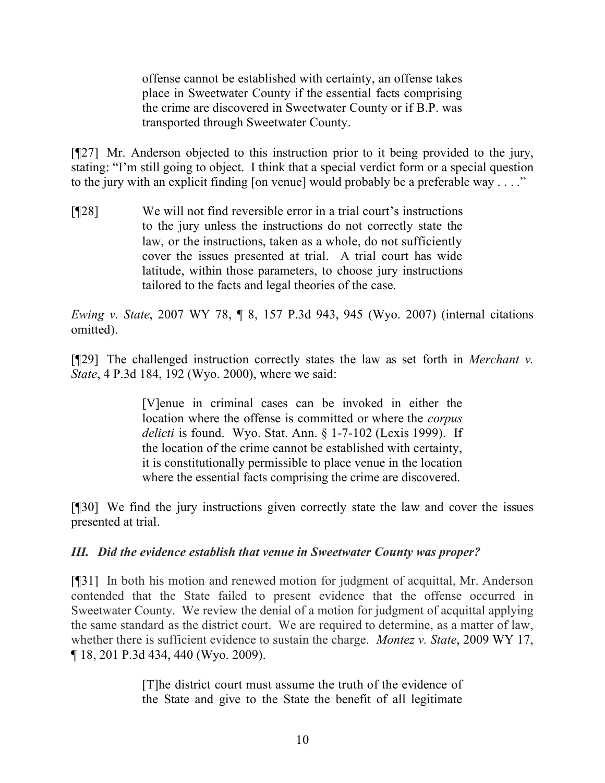offense cannot be established with certainty, an offense takes place in Sweetwater County if the essential facts comprising the crime are discovered in Sweetwater County or if B.P. was transported through Sweetwater County.

[¶27] Mr. Anderson objected to this instruction prior to it being provided to the jury, stating: "I'm still going to object. I think that a special verdict form or a special question to the jury with an explicit finding [on venue] would probably be a preferable way . . . ."

[¶28] We will not find reversible error in a trial court's instructions to the jury unless the instructions do not correctly state the law, or the instructions, taken as a whole, do not sufficiently cover the issues presented at trial. A trial court has wide latitude, within those parameters, to choose jury instructions tailored to the facts and legal theories of the case.

*Ewing v. State*, 2007 WY 78, ¶ 8, 157 P.3d 943, 945 (Wyo. 2007) (internal citations omitted).

[¶29] The challenged instruction correctly states the law as set forth in *Merchant v. State*, 4 P.3d 184, 192 (Wyo. 2000), where we said:

> [V]enue in criminal cases can be invoked in either the location where the offense is committed or where the *corpus delicti* is found. Wyo. Stat. Ann. § 1-7-102 (Lexis 1999). If the location of the crime cannot be established with certainty, it is constitutionally permissible to place venue in the location where the essential facts comprising the crime are discovered.

[¶30] We find the jury instructions given correctly state the law and cover the issues presented at trial.

## *III. Did the evidence establish that venue in Sweetwater County was proper?*

[¶31] In both his motion and renewed motion for judgment of acquittal, Mr. Anderson contended that the State failed to present evidence that the offense occurred in Sweetwater County. We review the denial of a motion for judgment of acquittal applying the same standard as the district court. We are required to determine, as a matter of law, whether there is sufficient evidence to sustain the charge. *Montez v. State*, 2009 WY 17, ¶ 18, 201 P.3d 434, 440 (Wyo. 2009).

> [T]he district court must assume the truth of the evidence of the State and give to the State the benefit of all legitimate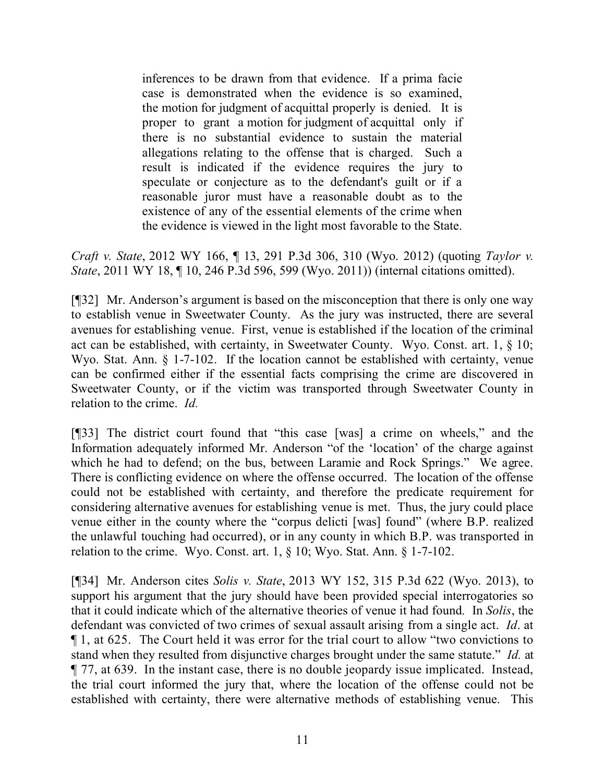inferences to be drawn from that evidence. If a prima facie case is demonstrated when the evidence is so examined, the motion for judgment of acquittal properly is denied. It is proper to grant a motion for judgment of acquittal only if there is no substantial evidence to sustain the material allegations relating to the offense that is charged. Such a result is indicated if the evidence requires the jury to speculate or conjecture as to the defendant's guilt or if a reasonable juror must have a reasonable doubt as to the existence of any of the essential elements of the crime when the evidence is viewed in the light most favorable to the State.

*Craft v. State*, 2012 WY 166, ¶ 13, 291 P.3d 306, 310 (Wyo. 2012) (quoting *Taylor v. State*, 2011 WY 18, 10, 246 P.3d 596, 599 (Wyo. 2011)) (internal citations omitted).

[¶32] Mr. Anderson's argument is based on the misconception that there is only one way to establish venue in Sweetwater County. As the jury was instructed, there are several avenues for establishing venue. First, venue is established if the location of the criminal act can be established, with certainty, in Sweetwater County. Wyo. Const. art. 1, § 10; Wyo. Stat. Ann. § 1-7-102. If the location cannot be established with certainty, venue can be confirmed either if the essential facts comprising the crime are discovered in Sweetwater County, or if the victim was transported through Sweetwater County in relation to the crime. *Id.*

[¶33] The district court found that "this case [was] a crime on wheels," and the Information adequately informed Mr. Anderson "of the 'location' of the charge against which he had to defend; on the bus, between Laramie and Rock Springs." We agree. There is conflicting evidence on where the offense occurred. The location of the offense could not be established with certainty, and therefore the predicate requirement for considering alternative avenues for establishing venue is met. Thus, the jury could place venue either in the county where the "corpus delicti [was] found" (where B.P. realized the unlawful touching had occurred), or in any county in which B.P. was transported in relation to the crime. Wyo. Const. art. 1, § 10; Wyo. Stat. Ann. § 1-7-102.

[¶34] Mr. Anderson cites *Solis v. State*, 2013 WY 152, 315 P.3d 622 (Wyo. 2013), to support his argument that the jury should have been provided special interrogatories so that it could indicate which of the alternative theories of venue it had found*.* In *Solis*, the defendant was convicted of two crimes of sexual assault arising from a single act. *Id*. at ¶ 1, at 625. The Court held it was error for the trial court to allow "two convictions to stand when they resulted from disjunctive charges brought under the same statute." *Id.* at ¶ 77, at 639. In the instant case, there is no double jeopardy issue implicated. Instead, the trial court informed the jury that, where the location of the offense could not be established with certainty, there were alternative methods of establishing venue. This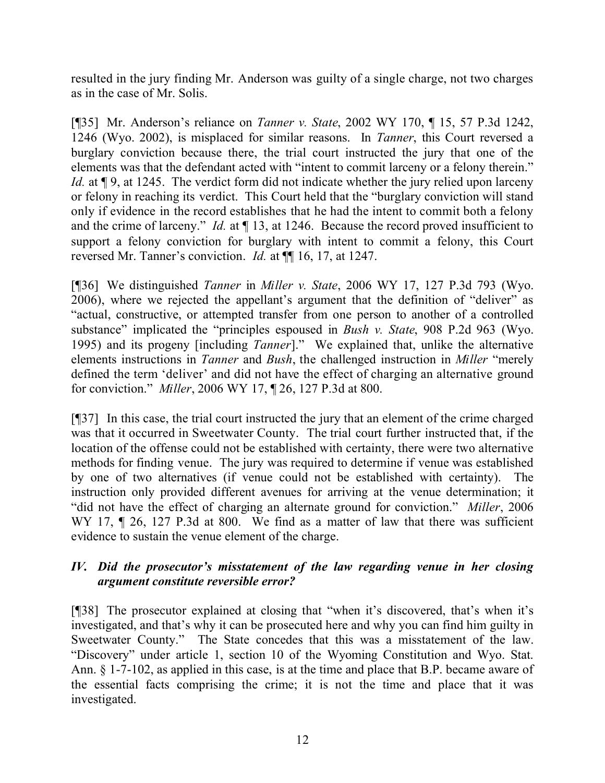resulted in the jury finding Mr. Anderson was guilty of a single charge, not two charges as in the case of Mr. Solis.

[¶35] Mr. Anderson's reliance on *Tanner v. State*, 2002 WY 170, ¶ 15, 57 P.3d 1242, 1246 (Wyo. 2002), is misplaced for similar reasons. In *Tanner*, this Court reversed a burglary conviction because there, the trial court instructed the jury that one of the elements was that the defendant acted with "intent to commit larceny or a felony therein." *Id.* at  $\sqrt{9}$ , at 1245. The verdict form did not indicate whether the jury relied upon larceny or felony in reaching its verdict. This Court held that the "burglary conviction will stand only if evidence in the record establishes that he had the intent to commit both a felony and the crime of larceny." *Id.* at  $\P$  13, at 1246. Because the record proved insufficient to support a felony conviction for burglary with intent to commit a felony, this Court reversed Mr. Tanner's conviction. *Id.* at  $\P$  16, 17, at 1247.

[¶36] We distinguished *Tanner* in *Miller v. State*, 2006 WY 17, 127 P.3d 793 (Wyo. 2006), where we rejected the appellant's argument that the definition of "deliver" as "actual, constructive, or attempted transfer from one person to another of a controlled substance" implicated the "principles espoused in *Bush v. State*, 908 P.2d 963 (Wyo. 1995) and its progeny [including *Tanner*]." We explained that, unlike the alternative elements instructions in *Tanner* and *Bush*, the challenged instruction in *Miller* "merely defined the term 'deliver' and did not have the effect of charging an alternative ground for conviction." *Miller*, 2006 WY 17, ¶ 26, 127 P.3d at 800.

[¶37] In this case, the trial court instructed the jury that an element of the crime charged was that it occurred in Sweetwater County. The trial court further instructed that, if the location of the offense could not be established with certainty, there were two alternative methods for finding venue. The jury was required to determine if venue was established by one of two alternatives (if venue could not be established with certainty). The instruction only provided different avenues for arriving at the venue determination; it "did not have the effect of charging an alternate ground for conviction." *Miller*, 2006 WY 17,  $\parallel$  26, 127 P.3d at 800. We find as a matter of law that there was sufficient evidence to sustain the venue element of the charge.

# *IV. Did the prosecutor's misstatement of the law regarding venue in her closing argument constitute reversible error?*

[¶38] The prosecutor explained at closing that "when it's discovered, that's when it's investigated, and that's why it can be prosecuted here and why you can find him guilty in Sweetwater County." The State concedes that this was a misstatement of the law. "Discovery" under article 1, section 10 of the Wyoming Constitution and Wyo. Stat. Ann. § 1-7-102, as applied in this case, is at the time and place that B.P. became aware of the essential facts comprising the crime; it is not the time and place that it was investigated.